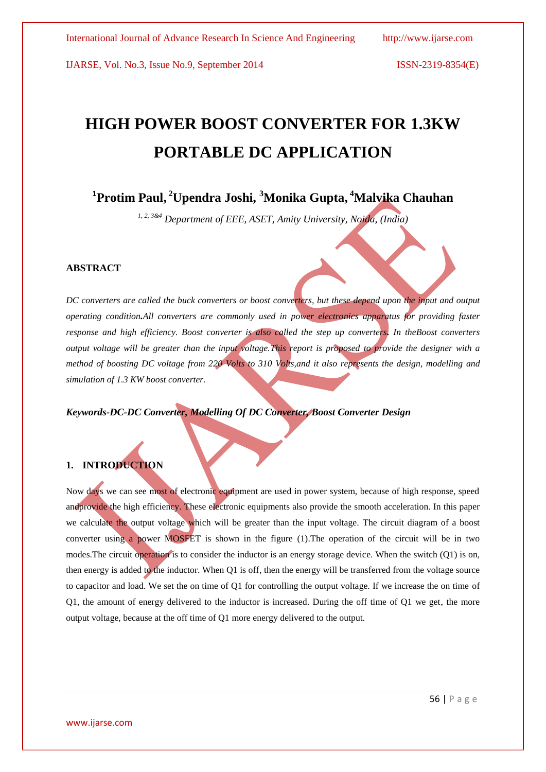IJARSE, Vol. No.3, Issue No.9, September 2014 ISSN-2319-8354(E)

# **HIGH POWER BOOST CONVERTER FOR 1.3KW PORTABLE DC APPLICATION**

## **1 Protim Paul, <sup>2</sup>Upendra Joshi, <sup>3</sup>Monika Gupta, <sup>4</sup>Malvika Chauhan**

*1, 2, 3&4 Department of EEE, ASET, Amity University, Noida, (India)*

#### **ABSTRACT**

*DC converters are called the buck converters or boost converters, but these depend upon the input and output operating condition.All converters are commonly used in power electronics apparatus for providing faster response and high efficiency. Boost converter is also called the step up converters. In theBoost converters output voltage will be greater than the input voltage.This report is proposed to provide the designer with a method of boosting DC voltage from 220 Volts to 310 Volts,and it also represents the design, modelling and simulation of 1.3 KW boost converter.*

*Keywords-DC-DC Converter, Modelling Of DC Converter, Boost Converter Design*

### **1. INTRODUCTION**

Now days we can see most of electronic equipment are used in power system, because of high response, speed andprovide the high efficiency. These electronic equipments also provide the smooth acceleration. In this paper we calculate the output voltage which will be greater than the input voltage. The circuit diagram of a boost converter using a power MOSFET is shown in the figure (1).The operation of the circuit will be in two modes. The circuit operation is to consider the inductor is an energy storage device. When the switch (Q1) is on, then energy is added to the inductor. When Q1 is off, then the energy will be transferred from the voltage source to capacitor and load. We set the on time of Q1 for controlling the output voltage. If we increase the on time of Q1, the amount of energy delivered to the inductor is increased. During the off time of Q1 we get, the more output voltage, because at the off time of Q1 more energy delivered to the output.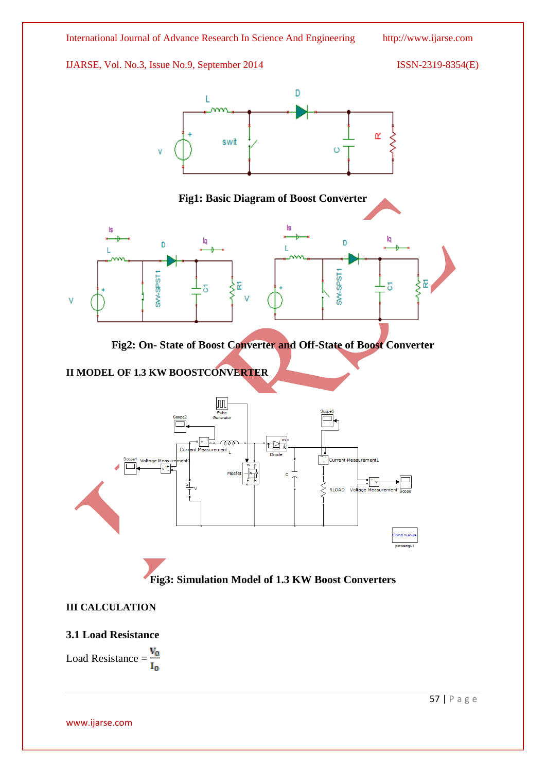IJARSE, Vol. No.3, Issue No.9, September 2014 ISSN-2319-8354(E)



Load Resistance =  $\frac{V_0}{I_0}$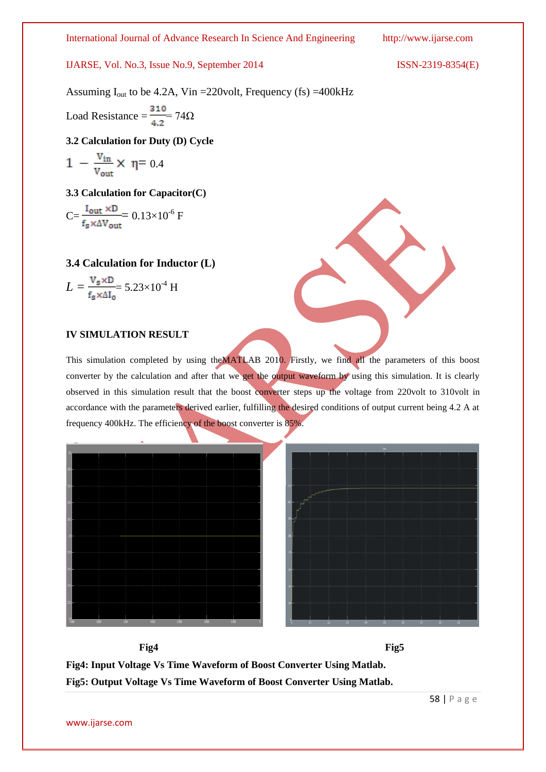IJARSE, Vol. No.3, Issue No.9, September 2014

$$
ISSN-2319-8354(E)
$$

Assuming  $I_{out}$  to be 4.2A, Vin = 220 volt, Frequency (fs) = 400 kHz

Load Resistance =  $\frac{310}{4.2}$  74 $\Omega$ 

**3.2 Calculation for Duty (D) Cycle**

$$
1 - \frac{v_{in}}{v_{out}} \times \eta = 0.4
$$

**3.3 Calculation for Capacitor(C)**

$$
C = \frac{I_{\text{out}} \times D}{f_s \times \Delta V_{\text{out}}} = 0.13 \times 10^{-6} \text{ F}
$$

**3.4 Calculation for Inductor (L)**

$$
L = \frac{V_s \times D}{f_s \times \Delta I_0} = 5.23 \times 10^{-4} \text{ H}
$$

#### **IV SIMULATION RESULT**

This simulation completed by using theMATLAB 2010. Firstly, we find all the parameters of this boost converter by the calculation and after that we get the output waveform by using this simulation. It is clearly observed in this simulation result that the boost converter steps up the voltage from 220volt to 310volt in accordance with the parameters derived earlier, fulfilling the desired conditions of output current being 4.2 A at frequency 400kHz. The efficiency of the boost converter is 85%.





**Fig4: Input Voltage Vs Time Waveform of Boost Converter Using Matlab. Fig5: Output Voltage Vs Time Waveform of Boost Converter Using Matlab.**

Fig4 **Fig5** 

58 | P a g e

www.ijarse.com